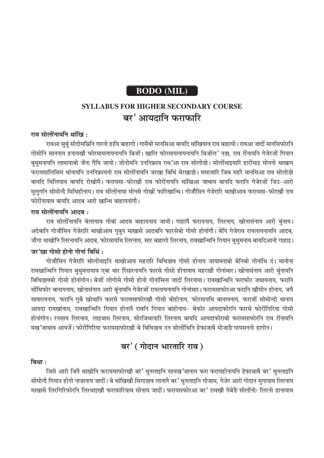# **BODO** (MIL)

# **SYLLABUS FOR HIGHER SECONDARY COURSE** बर' आयदानि फराफारि

#### राव सोलोंनायनि थांखि:

रावआ सुबुं सोदोमस्रिनि गारनो हायि बाहागो। गासैबो मानसिआ बायदि थांखियाव राव बाहायो। रावआ जादों मानसिफोरनि गोसोनि साननाय हनायखौ फोरमायलायनायनि बिजों। खालि फोरमायलायनायनि बिजोंल' नड़ा, राव रोंनायनि गेजेरजों गियान बथमनायनि लामायाबो जेंना गैयि जायो। जोनोमनि उननिफ्राय गथ'आ राव सोलोड़ो। सोलोंथाइयारि हारोंथाइ मोननो थाखाय फरायसालिसिम थांनायनि उननिफ्रायनो राव सोलोंनायनि जरखा बिथिं बेरखाड़ो। समाजारि जिब महरै मानसिआ राव सोलोड़ो बायदि थिलियाव बायदि रोखोमै। फरायसा-फोरखौ राव फोरोंनायनि थांखिआ जाबाय बायदि फरानि गेजेरजों जिउ-आरो मुलुगनि सोमोन्दै मिथिहोनाय। राव सोंलोंनाया मोनसे गोख्रों फारिखान्थि। गोजौसिन गेजेरारि थाखोआव फरायसा-फोरखौ राव फोरोंनायाव बायदि आदब आरो खान्थि बाहायनांगौ।

#### राव सोलोंनायनि आदब :

राव सोलोंनायनि बेलायाव गोबां आदब बाहायनाय जायो। गाहायै फरायनाय, लिरनाय, खोनासंनाय आरो बुंनाय। अदेबानि गोजौसिन गेजेरारि थाखोआव गुबुन माखासे आदबनि फारसेबो गोसो होनांगौ। बेनि गेजेराव रायलायनायनि आदब, जौगा थाखोनि लिरनायनि आदब, फोरमायथि लिरनाय, सार बाहागो लिरनाय, रावखान्थिनि गियान बुथुमनाय बायदिआनो गाहाइ। जर'खा गोसो होनो गोनां बिथिं:

गोजौसिन गेजेरारि सोलोंथाइनि थाखोआव महरारि बिथिड़ाव गोसो होनाय जायाब्लाबो बेनिबो गोनांथि दं। मानोना रावखान्थिनि गियान बुथुमनायाव एबा थार रिंसारनायनि फारसे गोसो होनायाव महरखौ गोनांथार। खोनासंनाय आरो बुंनायनि बिथिडावबो गोसो होनांगोन। बेजों लोगोसे गोसो होनो गोनांसिना जादों लिरनाया। रावखान्थिनि फराफोर जथायनाय, फरानि सोंथिफोर बानायनाय, खोनासंनाय आरो बुंनायनि गेजेरजों रायलायनायनि गोनांथार। फरायसाफोरआ फरानि खौमोन होनाय, जयै सावरायनाय, फरानि गुबै खोथानि फारसे फरायसाफोरखौ गोसो बोहोनाय, फोरमायथि बानायनाय, फराजों सोमोन्दो थानाय आयदा रायखांनाय, रावखान्थिनि गियान होनानै रावनि गियान बांहोनाय- बेफोर आयदाफोरनि फारसे फोरोंगिरिया गोसो होनांगोन। रनसाय लिरनाय, लाइजाम लिरनाय, सोरजिथायारि लिरनाय बायदि आयदाफोराबो फरायसाफोरनि राव रोंनायनि मख 'जाथाव आयजें। फोरोंगिरिया फरायसाफोरखौ बे बिथिडाव उन सोलोंथिनि हेफाजाबै मोजार्डै गायसननो हागोन।

## बर' (गोदान भारतारि राव)

#### बिथा $\cdot$

जिसे आरो जिनै थाखोनि फरायसाफोरखौ बर' थुनलाइनि सायख'जानाय फरा फरायहोनायनि हेफाजाबै बर' थुनलाइनि सोमोन्दै गियान होनो नाजानाय जादों। बे थांखिखौ सिगाडाव लानानै बर' थुनलाइनि गोजाम, गेजेर आरो गोदान मुगायाव लिरनाय माखासे लिरगिरिफोरनि लिरथाइखौ फराफारियाव सोनाय जादों। फरायसफोरआ बर' रावखौ गेबेड़ै सोलोंनो/ लिरनो हानायाव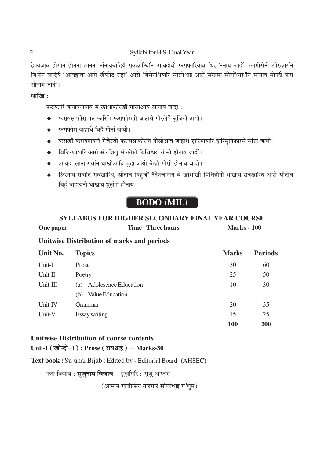#### Syllabi for H.S. Final Year

हेफाजाब होगोन होनना सानना नांनायबादियै रावखान्थिनि आयदाबो फराफारियाव थिस ननाय जादों। लोगोसेनो सोरखारनि बिथोन बादियै 'आबहावा आरो खैफोद राहा' आरो 'बेसेनथियारि सोलोंथाइ आरो सेंग्रासा सोलोंथाइ'नि सायाव मोनब्रै फरा सोनाय जादों।

#### थांखि $\cdot$

फराफारि बानायनायाव बे खोथाफोरखौ गोसोआव लानाय जादो :

- फरायसाफोरा फराफारिनि फराफोरखौ जाहाथे गोरलैयै बजिनो हायो।
- फराफोरा जाहाथे बिंदै गोनां जायो।
- फराखौ फरायनायनि गेजेरजों फरायसाफोरनि गोसोआव जाहाथे हारिमायारि हारिमुनिफारसे सांग्रां जायो।
- बिजिरथायारि आरो सोरजिलु मोननैबो बिथिडाव गोसो होनाय जादों।  $\bullet$
- आयदा लाना रावनि थाखोआदि जुदा जायो बेखौ गोसो होनाय जादों।  $\blacklozenge$
- ♦ लिरनाय रावादि रावखान्थि, सोदोब बिहुंजों दैदेनजानाय बे खोथाखौ मिथिहोनो थाखाय रावखान्थि आरो सोदोब बिहुं बाहायनो थाखाय थुलुंगा होनाय।

# **BODO** (MIL)

## **SYLLABUS FOR HIGHER SECONDARY FINAL YEAR COURSE**

| One paper | <b>Time: Three hours</b> | <b>Marks - 100</b> |
|-----------|--------------------------|--------------------|

## **Unitwise Distribution of marks and periods**

| Unit No.   | <b>Topics</b>               | <b>Marks</b> | <b>Periods</b> |
|------------|-----------------------------|--------------|----------------|
| Unit-I     | Prose                       | 30           | 60             |
| Unit-II    | Poetry                      | 25           | 50             |
| $Unit-III$ | Adolesence Education<br>(a) | 10           | 30             |
|            | Value Education<br>(b)      |              |                |
| Unit-IV    | <b>Grammar</b>              | 20           | 35             |
| Unit-V     | Essay writing               | 15           | 25             |
|            |                             | 100          | <b>200</b>     |

## **Unitwise Distribution of course contents**

### Unit-I (खोन्दो-1): Prose (रायथाइ) - Marks-30

Text book: Sujunai Bijab: Edited by - Editorial Board (AHSEC)

फरा बिजाब : **सुजुनाय बिजाब** - सुजुगिरि : सुजु आफाद

(आसाम गोजौसिन गेजेरारि सोलोंथाइ ग'थुम)

 $\overline{2}$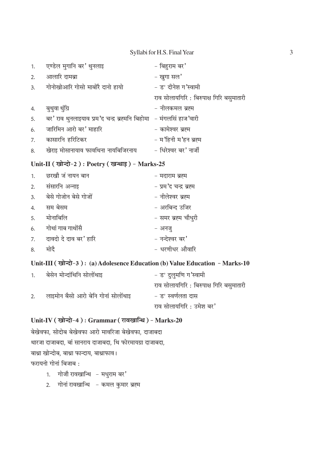#### Syllabi for H.S. Final Year

| 1. | एण्डेल मुगानि बर' थुनलाइ                                             | $-$ बिहुराम बर $\prime$                  |
|----|----------------------------------------------------------------------|------------------------------------------|
| 2. | आलारि दामब्रा                                                        | - खुगा सल'                               |
| 3. | गोनोखोआरि गोसो माबोरै दानो हायो                                      | - ड° दीनेश ग'स्वामी                      |
|    |                                                                      | राव सोलायगिरि : बिरुपाक्ष गिरि बसुमातारी |
| 4. | बुथुवा थुंग्रि                                                       | – नीलकमल ब्रह्म                          |
| 5. | बर' राव थुनलाइयाव प्रम'द चन्द्र ब्रह्मनि बिहोमा   – मंगलसिं हाज'वारी |                                          |
| 6. | जारिमिन आरो बर' माहारि                                               | – कामेश्वर ब्रह्म                        |
| 7. | कासारनि हरिटिकर                                                      | - म'हिनी म'हन ब्रह्म                     |
| 8. | खेराइ मोसानायाव फावथिना नायबिजिरनाय                                  | - धिरेश्वर बर' नार्जी                    |

### Unit-II (खोन्दो-2): Poetry (खन्थाइ) - Marks-25

| 1. | छरखौ जं नायन बान         | – मदाराम ब्रह्म        |
|----|--------------------------|------------------------|
| 2. | संसारनि अन्नाइ           | - प्रम'द चन्द्र ब्रह्म |
|    | 3. बेसे गोजोन बेसे गोजों | - नीलेश्वर ब्रह्म      |
| 4. | सम बेसम                  | - अरबिन्द उजिर         |
| 5. | मोनाबिलि                 | - समर ब्रह्म चौधुरी    |
| 6. | गोथां गाब गाथोंसै        | - अनज़्                |
| 7. | दावदो दे दाव बर' हारि    | - नन्देश्वर बर'        |
| 8. | मोदै                     | - धरणीधर औवारि         |

### Unit-III (खोन्दो-3): (a) Adolesence Education (b) Value Education - Marks-10

| 1. | बेसेन मोन्दांथिनि सोलोंथाइ          | – ड° दुलुमणि ग'स्वामी                    |
|----|-------------------------------------|------------------------------------------|
|    |                                     | राव सोलायगिरि : बिरुपाक्ष गिरि बसुमातारी |
| 2. | लाइमोन बैसो आरो बेनि गोनां सोलोंथाइ | – ड° स्वर्णलता दास                       |
|    |                                     | राव सोलायगिरि : उमेश बर'                 |

## Unit-IV (खोन्दो-4): Grammar (रावखान्थि) - Marks-20

बेखेवफा, सोदोब बेखेवफा आरो मावरिजा बेखेवफा, दाजाबदा थारजा दाजाबदा, बां सानराय दाजाबदा, थि फोरमायग्रा दाजाबदा, बाथ्रा खोन्दोब, बाथ्रा फान्दाय, बाथ्राफाव। फरायनो गोनां बिजाब:

- 1. गोजौ रावखान्थि मधुराम बर'
- 2. गोनां रावखान्थि – कमल कुमार ब्रह्म